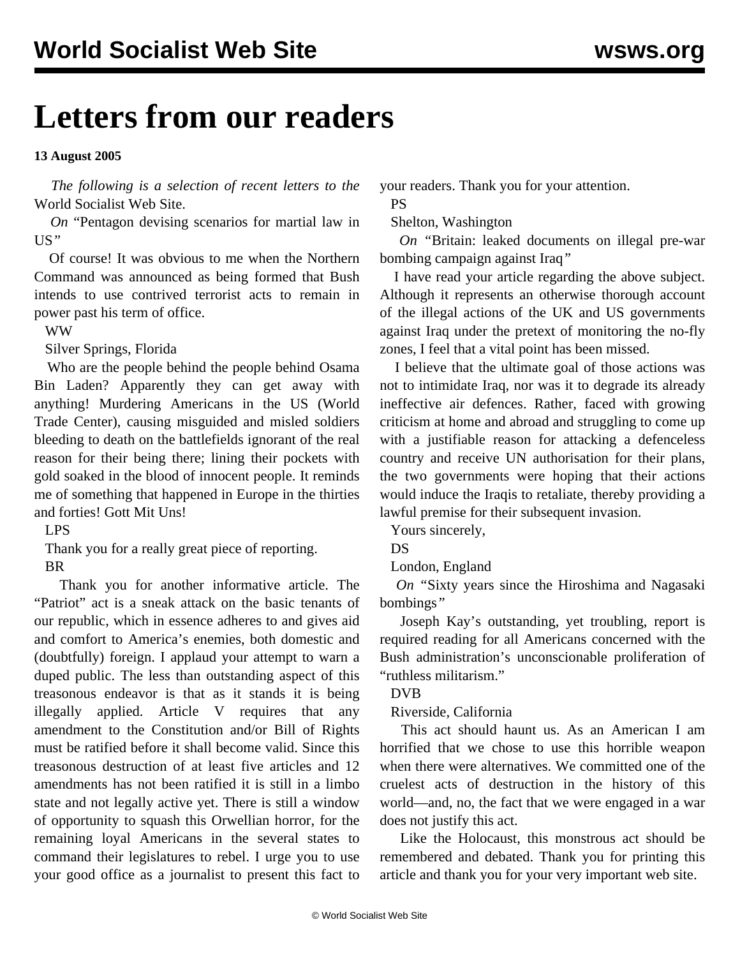# **Letters from our readers**

## **13 August 2005**

 *The following is a selection of recent letters to the* World Socialist Web Site.

 *On* ["Pentagon devising scenarios for martial law in](mart-a09.shtml) [US](mart-a09.shtml)*"*

 Of course! It was obvious to me when the Northern Command was announced as being formed that Bush intends to use contrived terrorist acts to remain in power past his term of office.

WW

Silver Springs, Florida

 Who are the people behind the people behind Osama Bin Laden? Apparently they can get away with anything! Murdering Americans in the US (World Trade Center), causing misguided and misled soldiers bleeding to death on the battlefields ignorant of the real reason for their being there; lining their pockets with gold soaked in the blood of innocent people. It reminds me of something that happened in Europe in the thirties and forties! Gott Mit Uns!

#### LPS

Thank you for a really great piece of reporting.

# BR

 Thank you for another informative article. The "Patriot" act is a sneak attack on the basic tenants of our republic, which in essence adheres to and gives aid and comfort to America's enemies, both domestic and (doubtfully) foreign. I applaud your attempt to warn a duped public. The less than outstanding aspect of this treasonous endeavor is that as it stands it is being illegally applied. Article V requires that any amendment to the Constitution and/or Bill of Rights must be ratified before it shall become valid. Since this treasonous destruction of at least five articles and 12 amendments has not been ratified it is still in a limbo state and not legally active yet. There is still a window of opportunity to squash this Orwellian horror, for the remaining loyal Americans in the several states to command their legislatures to rebel. I urge you to use your good office as a journalist to present this fact to

your readers. Thank you for your attention.

PS

#### Shelton, Washington

 *On "*[Britain: leaked documents on illegal pre-war](iraq-a10.shtml) [bombing campaign against Iraq](iraq-a10.shtml)*"*

 I have read your article regarding the above subject. Although it represents an otherwise thorough account of the illegal actions of the UK and US governments against Iraq under the pretext of monitoring the no-fly zones, I feel that a vital point has been missed.

 I believe that the ultimate goal of those actions was not to intimidate Iraq, nor was it to degrade its already ineffective air defences. Rather, faced with growing criticism at home and abroad and struggling to come up with a justifiable reason for attacking a defenceless country and receive UN authorisation for their plans, the two governments were hoping that their actions would induce the Iraqis to retaliate, thereby providing a lawful premise for their subsequent invasion.

Yours sincerely,

DS

London, England

 *On "*[Sixty years since the Hiroshima and Nagasaki](hiro-a09.shtml) [bombings](hiro-a09.shtml)*"*

 Joseph Kay's outstanding, yet troubling, report is required reading for all Americans concerned with the Bush administration's unconscionable proliferation of "ruthless militarism."

DVB

Riverside, California

 This act should haunt us. As an American I am horrified that we chose to use this horrible weapon when there were alternatives. We committed one of the cruelest acts of destruction in the history of this world—and, no, the fact that we were engaged in a war does not justify this act.

 Like the Holocaust, this monstrous act should be remembered and debated. Thank you for printing this article and thank you for your very important web site.